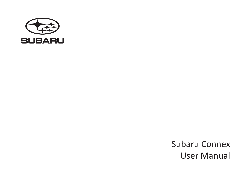

Subaru Connex User Manual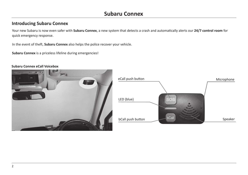### **Introducing Subaru Connex**

Your new Subaru is now even safer with **Subaru Connex**, a new system that detects a crash and automatically alerts our **24/7 control room** for quick emergency response.

In the event of theft, **Subaru Connex** also helps the police recover your vehicle.

**Subaru Connex** is a priceless lifeline during emergencies!





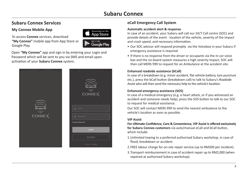### **Subaru Connex Services eCall Emergency Call System**

#### **My Connex Mobile App**

To access **Connex** services, download **"My Connex"** mobile app from App Store or Google Play.



Open **"My Connex"** app and sign in by entering your Login and Password which will be sent to you via SMS and email upon activation of your **Subaru Connex** system.



#### **Automatic accident alert & response**

In case of an accident, your Subaru will call our 24/7 Call centre (SOC) and provide details of the event - location of the vehicle, severity of the impact and crash speed, and necessary information.

- Our SOC advisor will respond promptly via the Voicebox in your Subaru if emergency assistance is required.
- If there is no response from the driver or occupants via the in-car voice box and the on-board system measures a high severity impact, SOC will then call MERS 999 to request for an Ambulance at the accident site.

#### **Enhanced roadside assistance (bCall)**

In case of a breakdown (e.g. minor accident, flat vehicle battery, tyre puncture etc.), press the bCall button (breakdown call) to talk to Subaru's Roadside Assist who will then send the necessary help to the vehicle's location.

#### **Enhanced emergency assistance (SOS)**

In case of a medical emergency (e.g. a heart attack, or if you witnessed an accident and someone needs help), press the SOS button to talk to our SOC to request for medical assistance.

Our SOC will contact MERS 999 to send the nearest ambulance to the vehicle's location as soon as possible.

#### **VIP Assist**

**For Ultimate Confidence, Care & Convenience, VIP Assist is offered exclusively for Subaru Connex customers** via auto/manual eCall and bCall button, which include:

- 1.Unlimited towing to a preferred authorised Subaru workshop, in case of flood, breakdown or accident.
- 2.FREE labour charge for on-site repair service (up to RM300 per incident).
- 3.Transport reimbursement in case of accident repair up to RM2,000 (when repaired at authorised Subaru workshop).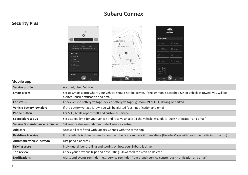# **Security Plus**



#### **Mobile app**

| Service profile                   | Account, User, Vehicle                                                                                                                                               |  |  |
|-----------------------------------|----------------------------------------------------------------------------------------------------------------------------------------------------------------------|--|--|
| Smart alarm                       | Set up Smart alarm where your vehicle should not be driven. If the ignition is switched ON or vehicle is towed, you will be<br>alerted (push notification and email) |  |  |
| Car status                        | Check vehicle battery voltage, device battery voltage, ignition ON or OFF, driving or parked                                                                         |  |  |
| Vehicle battery low alert         | If the battery voltage is low, you will be alerted (push notification and email)                                                                                     |  |  |
| <b>Phone button</b>               | For SOS, bCall, report theft and customer service                                                                                                                    |  |  |
| Speed alert set-up                | Set a speed limit for your vehicle and receive an alert if the vehicle exceeds it (push notification and email)                                                      |  |  |
| Service & maintenance reminder    | Set service due reminder and select service centre                                                                                                                   |  |  |
| Add cars                          | Access all cars fitted with Subaru Connex with the same app                                                                                                          |  |  |
| <b>Real-time tracking</b>         | If the vehicle is driven when it should not be, you can track it in real-time (Google Maps with real-time traffic information)                                       |  |  |
| <b>Automatic vehicle location</b> | Last parked address                                                                                                                                                  |  |  |
| <b>Driving score</b>              | Individual driver profiling and scoring on how your Subaru is driven                                                                                                 |  |  |
| Trip review                       | Check your previous trips and drive rating. Unwanted trips can be deleted                                                                                            |  |  |
| <b>Notifications</b>              | Alerts and events reminder - e.g. service reminder from branch service centre (push notification and email)                                                          |  |  |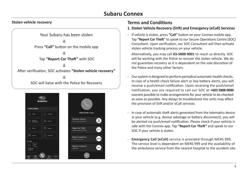#### **Stolen vehicle recovery**





#### **Terms and Conditions**

#### **1. Stolen Vehicle Recovery (SVR) and Emergency (eCall) Services**

- If vehicle is stolen, press **"Call"** button on your Connex mobile app. Tap **"Report Car Theft**" to speak to our Secure Operations Centre (SOC) Consultant. Upon verification, our SOC Consultant will then activate stolen vehicle tracking process on your vehicle.

Alternatively, you may call **03-5888 0001** to reach us directly. SOC will be working with the Police to recover the stolen vehicle. We do not guarantee recovery as it is dependent on the sole discretion of the Police and many other factors.

- Our system is designed to perform periodical automatic health checks. In case of a health check failure alert or low battery alerts, you will receive a push/email notification. Upon receiving the push/email notification, you are required to call our SOC at **+603 5888 0000**  soonest possible to make arrangements for your vehicle to be checked as soon as possible. Any delays to troubleshoot the units may affect the provision of SVR and/or eCall services.
- In case of automatic theft alerts generated from the telematics device in your vehicle (e.g. device sabotage or battery disconnect), you will be alerted via push/email notification. Please check if your vehicle is safe with the Connex app. Tap **"Report Car Theft"** and speak to our SOC if your vehicle is stolen.
- **Emergency Call (eCall)** service is provided through MERS 999. The service level is dependent on MERS 999 and the availability of the ambulance service from the nearest hospital to the accident site.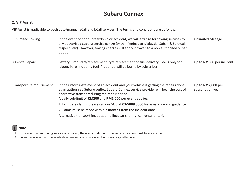### **2. VIP Assist**

VIP Assist is applicable to both auto/manual eCall and bCall services. The terms and conditions are as follow:

| Unlimited Towing               | In the event of flood, breakdown or accident, we will arrange for towing services to<br>any authorised Subaru service centre (within Peninsular Malaysia, Sabah & Sarawak<br>respectively). However, towing charges will apply if towed to a non authorised Subaru<br>outlet.                | <b>Unlimited Mileage</b>               |
|--------------------------------|----------------------------------------------------------------------------------------------------------------------------------------------------------------------------------------------------------------------------------------------------------------------------------------------|----------------------------------------|
| <b>On-Site Repairs</b>         | Battery jump start/replacement, tyre replacement or fuel delivery (Fee is only for<br>labour. Parts including fuel if required will be borne by subscriber).                                                                                                                                 | Up to <b>RM300</b> per incident        |
| <b>Transport Reimbursement</b> | In the unfortunate event of an accident and your vehicle is getting the repairs done<br>at an authorised Subaru outlet, Subaru Connex service provider will bear the cost of<br>alternative transport during the repair period.<br>A daily sub-limit of RM200 and RM1,000 per event applies. | Up to RM2,000 per<br>subscription year |
|                                | 1. To initiate claims, please call our SOC at 03-5888 0000 for assistance and guidance.                                                                                                                                                                                                      |                                        |
|                                | 2. Claims must be made within 2 months from the incident date.                                                                                                                                                                                                                               |                                        |
|                                | Alternative transport includes e-hailing, car-sharing, car rental or taxi.                                                                                                                                                                                                                   |                                        |

#### *i* **Note**

1. In the event when towing service is required, the road condition to the vehicle location must be accessible.

2. Towing service will not be available when vehicle is on a road that is not a gazetted road.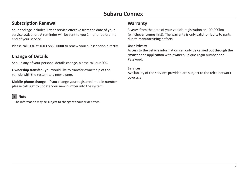### **Subscription Renewal**

Your package includes 1-year service effective from the date of your service activation. A reminder will be sent to you 1 month before the end of your service.

Please call **SOC** at **+603 5888 0000** to renew your subscription directly.

### **Change of Details**

Should any of your personal details change, please call our SOC.

**Ownership transfer** - you would like to transfer ownership of the vehicle with the system to a new owner.

**Mobile phone change** - if you change your registered mobile number, please call SOC to update your new number into the system.

# *i* **Note**

The information may be subject to change without prior notice.

### **Warranty**

3 years from the date of your vehicle registration or 100,000km (whichever comes first). The warranty is only valid for faults to parts due to manufacturing defects.

#### **User Privacy**

Access to the vehicle information can only be carried out through the smartphone application with owner's unique Login number and Password.

#### **Services**

Availability of the services provided are subject to the telco network coverage.